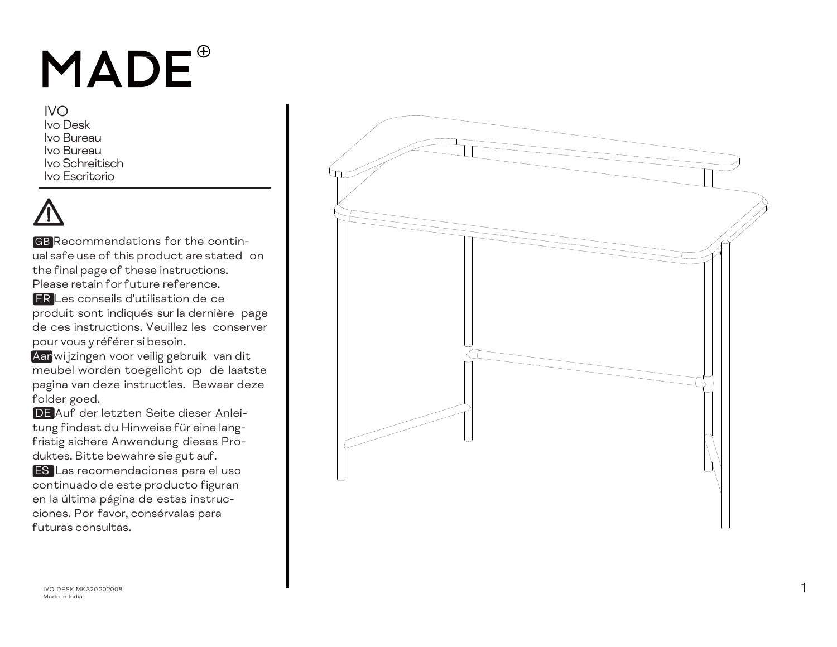# MADE<sup>®</sup>

IVOIvo DeskIvo BureauIvo BureauIvo SchreitischIvo Escritorio

GB Recommendations for the continual safe use of this product are stated on the final page of these instructions. Please retain for future reference.

FR Les conseils d'utilisation de ce produit sont indiqués sur la dernière page de ces instructions. Veuillez les conserverpour vous y référer si besoin.

Aanwijzingen voor veilig gebruik van dit meubel worden toegelicht op de laatste pagina van deze instructies. Bewaar deze folder goed.

DE Auf der letzten Seite dieser Anleitung findest du Hinweise für eine langfristig sichere Anwendung dieses Produktes. Bitte bewahre sie gu<sup>t</sup> auf.

ES Las recomendaciones para el uso continuado de este producto figuran en la última página de estas instrucciones. Por favor, consérvalas para futuras consultas.



**IVO DESK MK320202008** М 320 202008 Российский американский активический активический активический активический активический активиче<br>Народно при постоянии постоянии постоянии постоянии постоянии постоянии постоянии постоянии постоянии постояни Made in India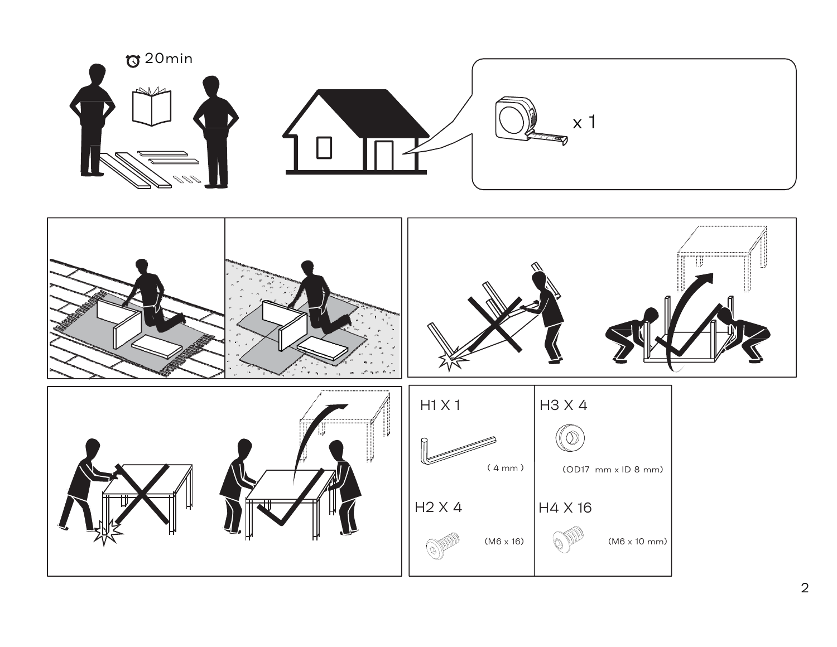

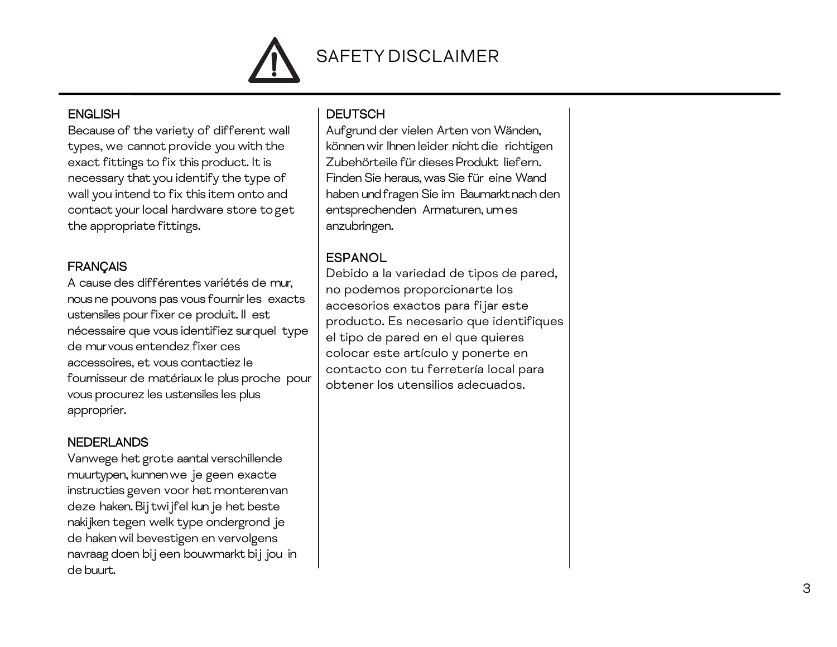

#### **ENGLISH**

Because of the variety of different wall types, we cannot provide you with the exact fittings to fix this product. It is necessary that you identify the type of wall you intend to fix this item onto and contact your local hardware store toget the appropriate fittings.

#### **FRANÇAIS**

A cause des différentes variétés de mur, nous ne pouvons pas vous fournir les exacts ustensiles pour fixer ce produit. Il est nécessaire que vous identifiez surquel type de mur vous entendez fixer ces accessoires, et vous contactiez le fournisseur de matériaux le plus proche pour vous procurez les ustensiles les plus approprier.

### **NEDERLANDS**

Vanwege het grote aantal verschillende muurtypen, kunnen we je geen exacte instructies geven voor het monterenvan deze haken. Bij twijfel kun je het beste nakijken tegen welk type ondergrond je de haken wil bevestigen en vervolgens navraag doen bij een bouwmarkt bij jou in de buurt.

### **DEUTSCH**

Aufgrund der vielen Arten von Wänden, können wir Ihnen leider nicht die richtigen Zubehörteile für dieses Produkt liefern. Finden Sie heraus, was Sie für eine Wand haben und fragen Sie im Baumarkt nach den entsprechenden Armaturen, um es anzubringen.

## **ESPANOL**

Debido a la variedad de tipos de pared, no podemos proporcionarte los accesorios exactos para fijar este producto. Es necesario que identifiques el tipo de pared en el que quieres colocar este artículo y ponerte en contacto con tu ferretería local para obtener los utensilios adecuados.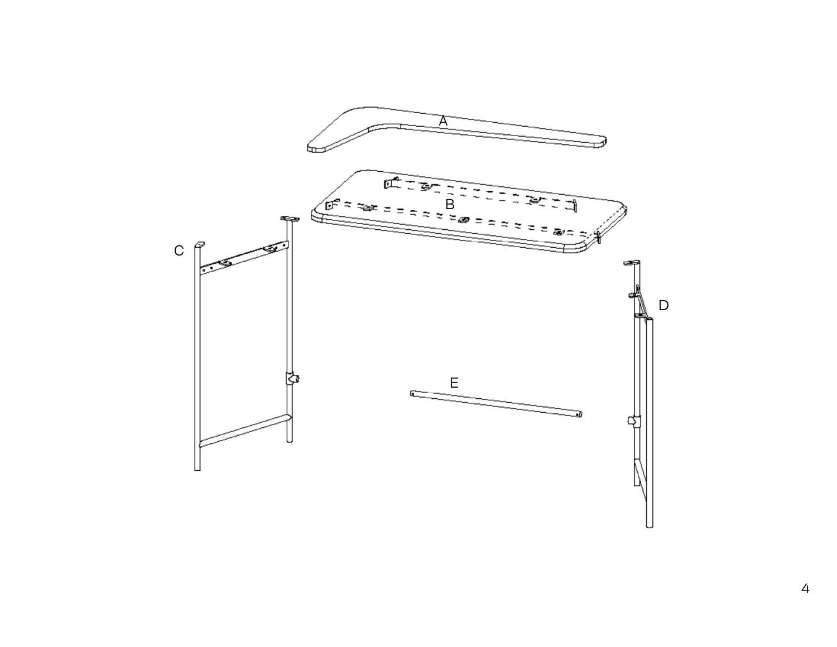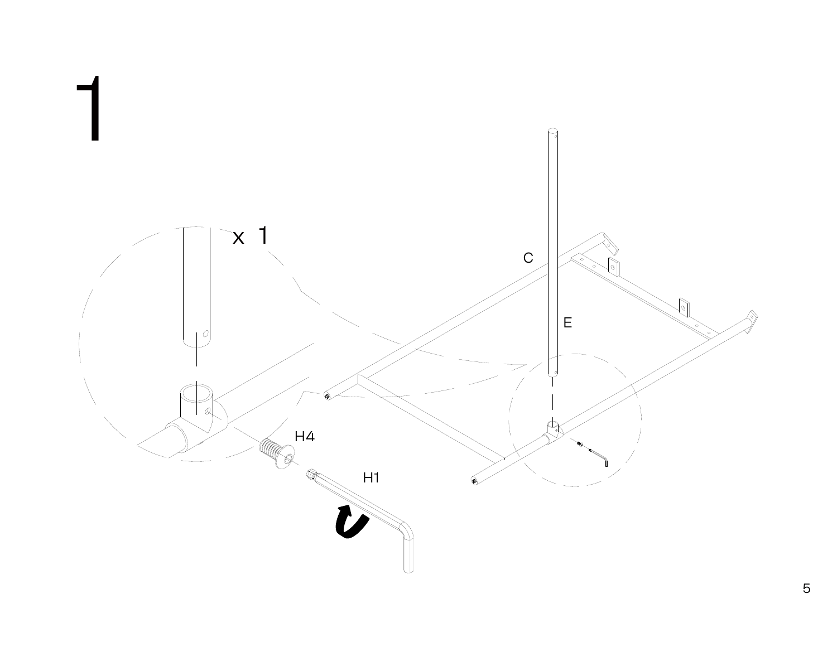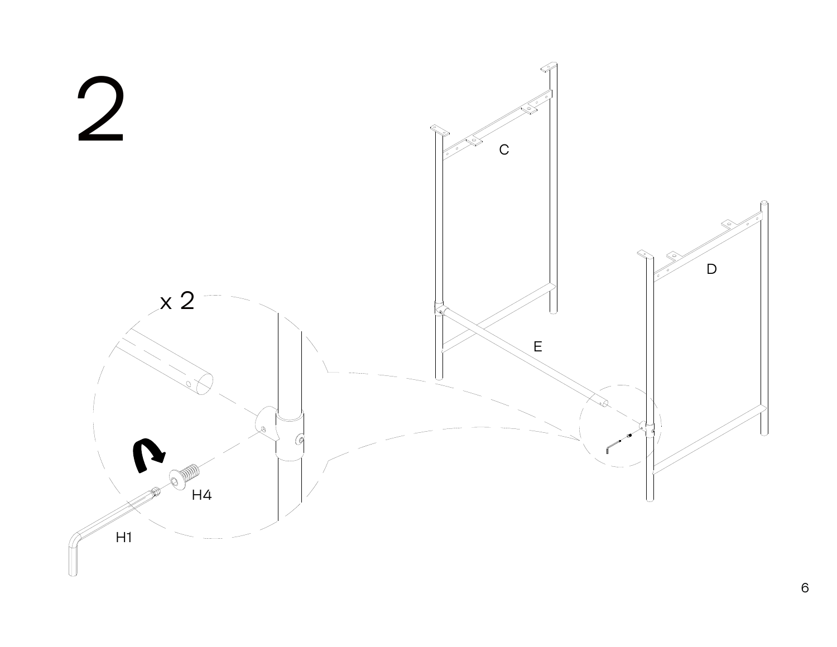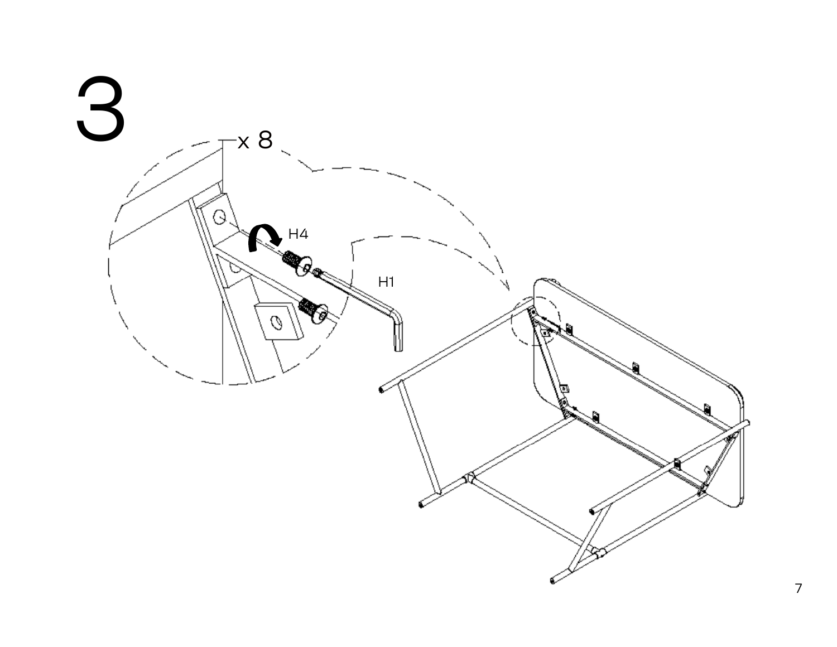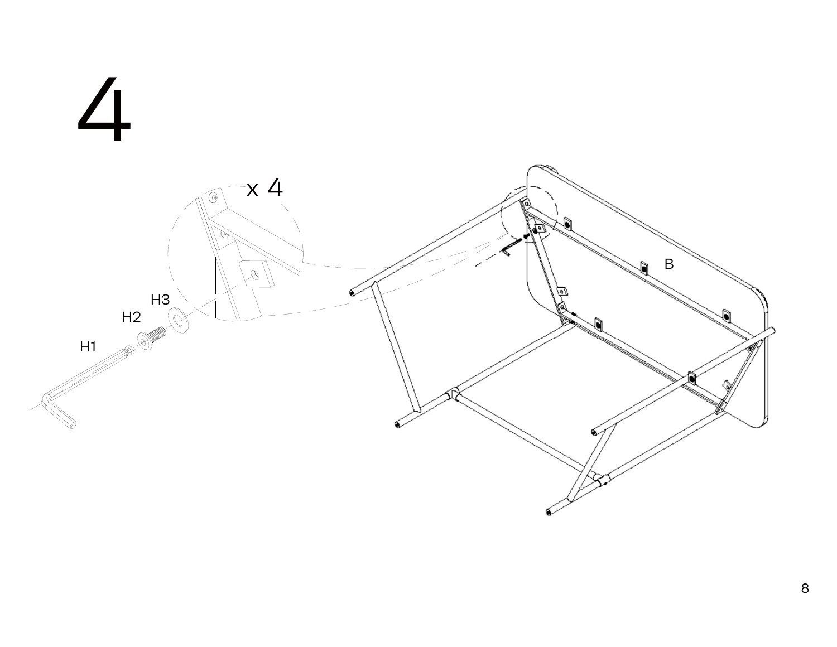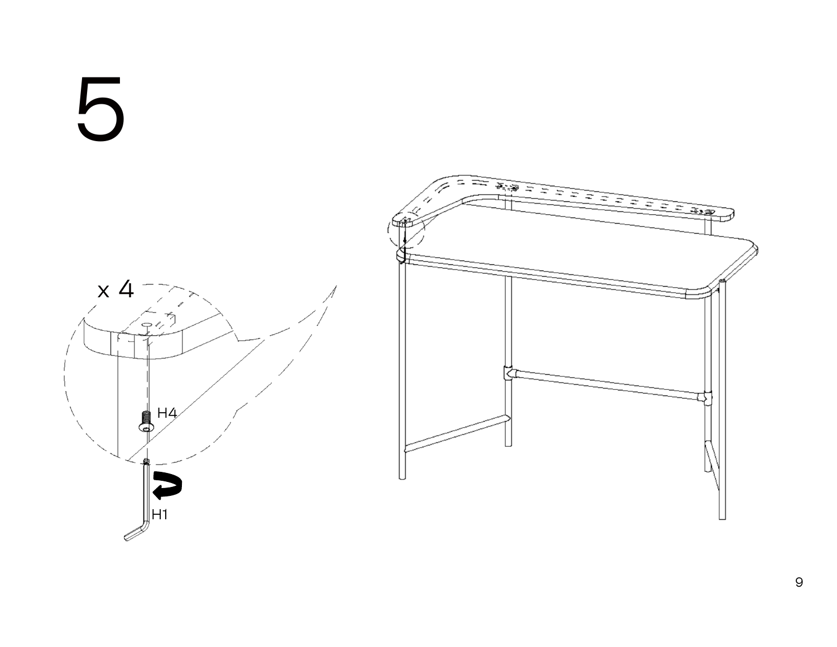